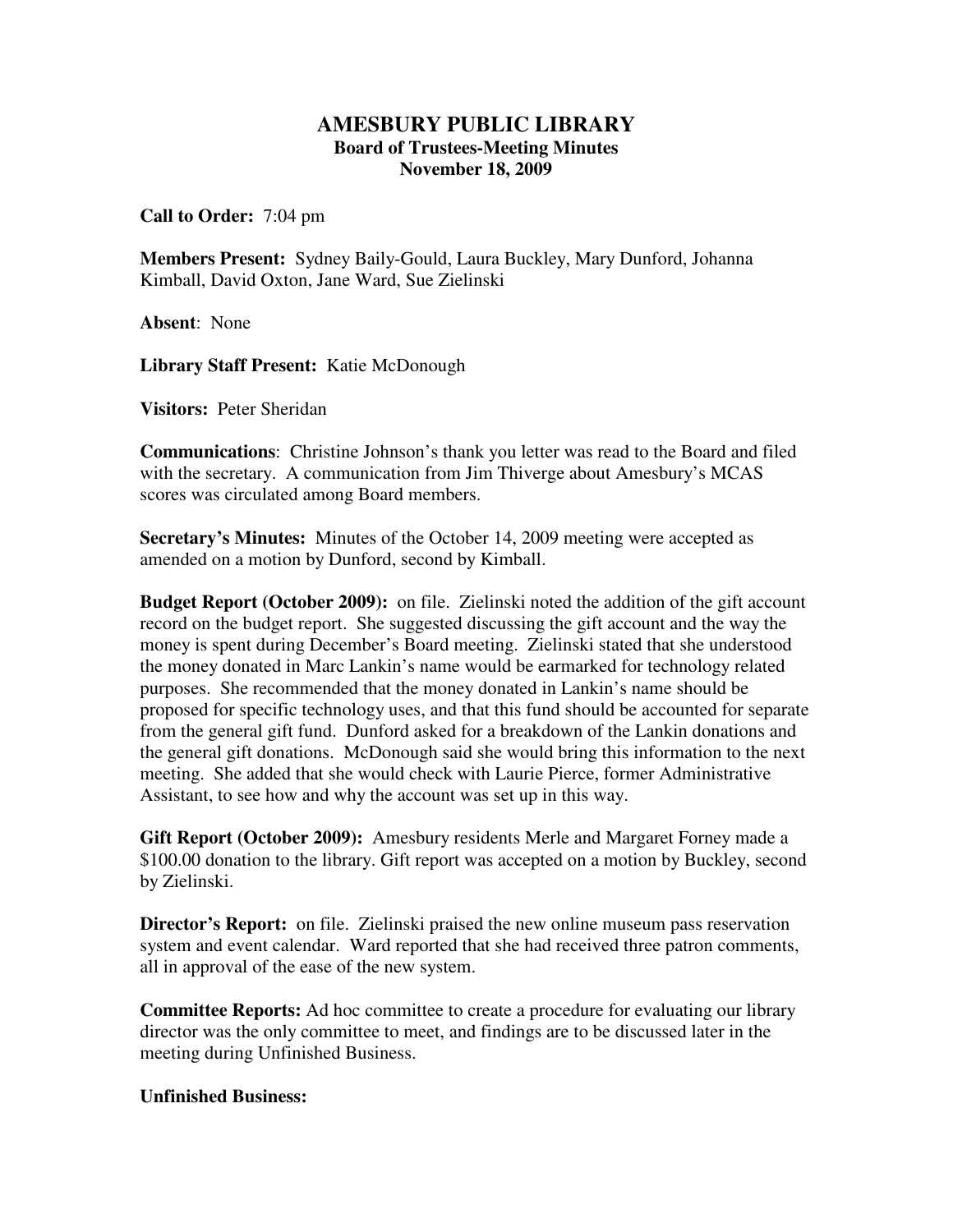## **AMESBURY PUBLIC LIBRARY Board of Trustees-Meeting Minutes November 18, 2009**

**Call to Order:** 7:04 pm

**Members Present:** Sydney Baily-Gould, Laura Buckley, Mary Dunford, Johanna Kimball, David Oxton, Jane Ward, Sue Zielinski

**Absent**: None

**Library Staff Present:** Katie McDonough

**Visitors:** Peter Sheridan

**Communications**: Christine Johnson's thank you letter was read to the Board and filed with the secretary. A communication from Jim Thiverge about Amesbury's MCAS scores was circulated among Board members.

**Secretary's Minutes:** Minutes of the October 14, 2009 meeting were accepted as amended on a motion by Dunford, second by Kimball.

**Budget Report (October 2009):** on file. Zielinski noted the addition of the gift account record on the budget report. She suggested discussing the gift account and the way the money is spent during December's Board meeting. Zielinski stated that she understood the money donated in Marc Lankin's name would be earmarked for technology related purposes. She recommended that the money donated in Lankin's name should be proposed for specific technology uses, and that this fund should be accounted for separate from the general gift fund. Dunford asked for a breakdown of the Lankin donations and the general gift donations. McDonough said she would bring this information to the next meeting. She added that she would check with Laurie Pierce, former Administrative Assistant, to see how and why the account was set up in this way.

**Gift Report (October 2009):** Amesbury residents Merle and Margaret Forney made a \$100.00 donation to the library. Gift report was accepted on a motion by Buckley, second by Zielinski.

**Director's Report:** on file. Zielinski praised the new online museum pass reservation system and event calendar. Ward reported that she had received three patron comments, all in approval of the ease of the new system.

**Committee Reports:** Ad hoc committee to create a procedure for evaluating our library director was the only committee to meet, and findings are to be discussed later in the meeting during Unfinished Business.

## **Unfinished Business:**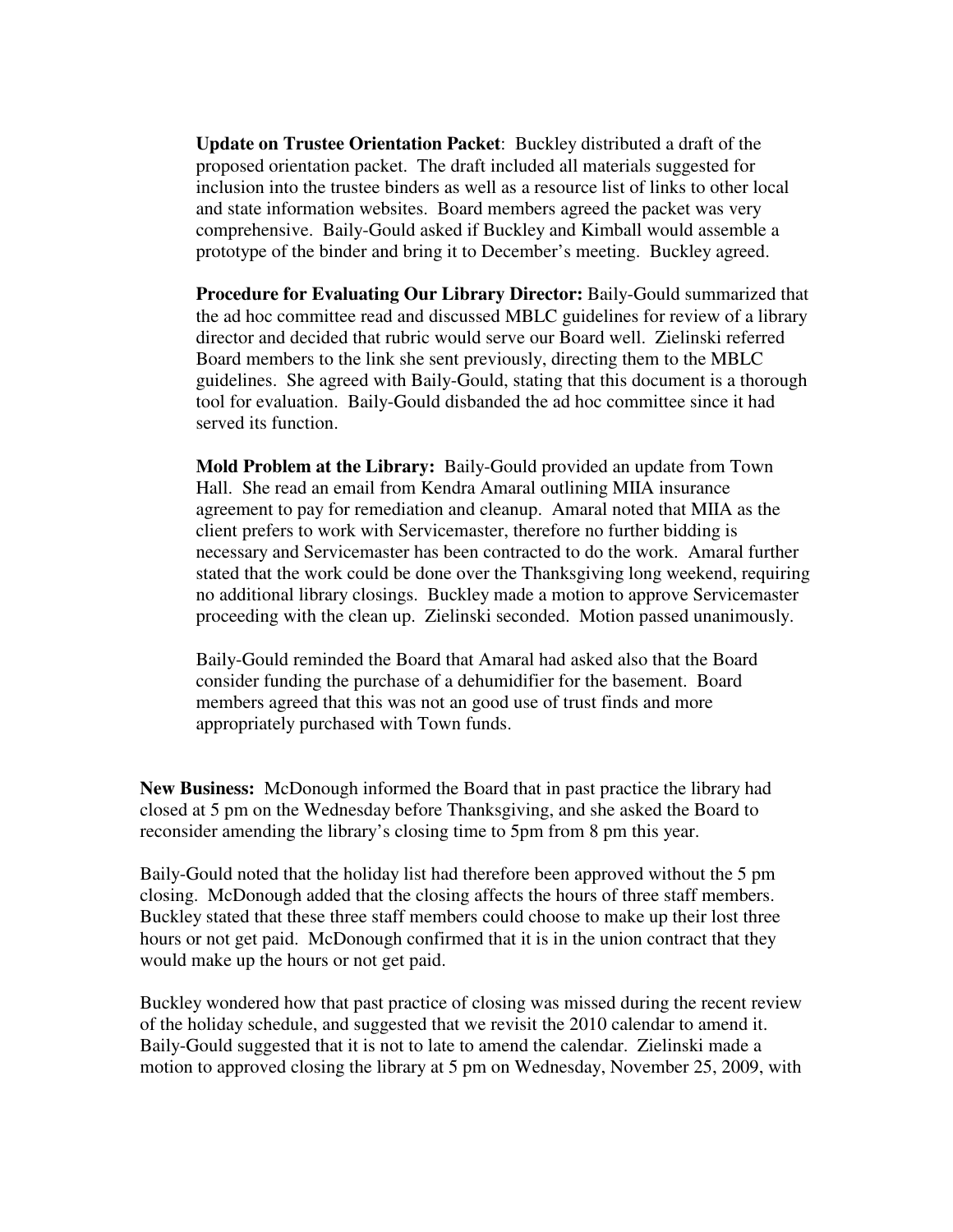**Update on Trustee Orientation Packet**: Buckley distributed a draft of the proposed orientation packet. The draft included all materials suggested for inclusion into the trustee binders as well as a resource list of links to other local and state information websites. Board members agreed the packet was very comprehensive. Baily-Gould asked if Buckley and Kimball would assemble a prototype of the binder and bring it to December's meeting. Buckley agreed.

**Procedure for Evaluating Our Library Director:** Baily-Gould summarized that the ad hoc committee read and discussed MBLC guidelines for review of a library director and decided that rubric would serve our Board well. Zielinski referred Board members to the link she sent previously, directing them to the MBLC guidelines. She agreed with Baily-Gould, stating that this document is a thorough tool for evaluation. Baily-Gould disbanded the ad hoc committee since it had served its function.

**Mold Problem at the Library:** Baily-Gould provided an update from Town Hall. She read an email from Kendra Amaral outlining MIIA insurance agreement to pay for remediation and cleanup. Amaral noted that MIIA as the client prefers to work with Servicemaster, therefore no further bidding is necessary and Servicemaster has been contracted to do the work. Amaral further stated that the work could be done over the Thanksgiving long weekend, requiring no additional library closings. Buckley made a motion to approve Servicemaster proceeding with the clean up. Zielinski seconded. Motion passed unanimously.

Baily-Gould reminded the Board that Amaral had asked also that the Board consider funding the purchase of a dehumidifier for the basement. Board members agreed that this was not an good use of trust finds and more appropriately purchased with Town funds.

**New Business:** McDonough informed the Board that in past practice the library had closed at 5 pm on the Wednesday before Thanksgiving, and she asked the Board to reconsider amending the library's closing time to 5pm from 8 pm this year.

Baily-Gould noted that the holiday list had therefore been approved without the 5 pm closing. McDonough added that the closing affects the hours of three staff members. Buckley stated that these three staff members could choose to make up their lost three hours or not get paid. McDonough confirmed that it is in the union contract that they would make up the hours or not get paid.

Buckley wondered how that past practice of closing was missed during the recent review of the holiday schedule, and suggested that we revisit the 2010 calendar to amend it. Baily-Gould suggested that it is not to late to amend the calendar. Zielinski made a motion to approved closing the library at 5 pm on Wednesday, November 25, 2009, with